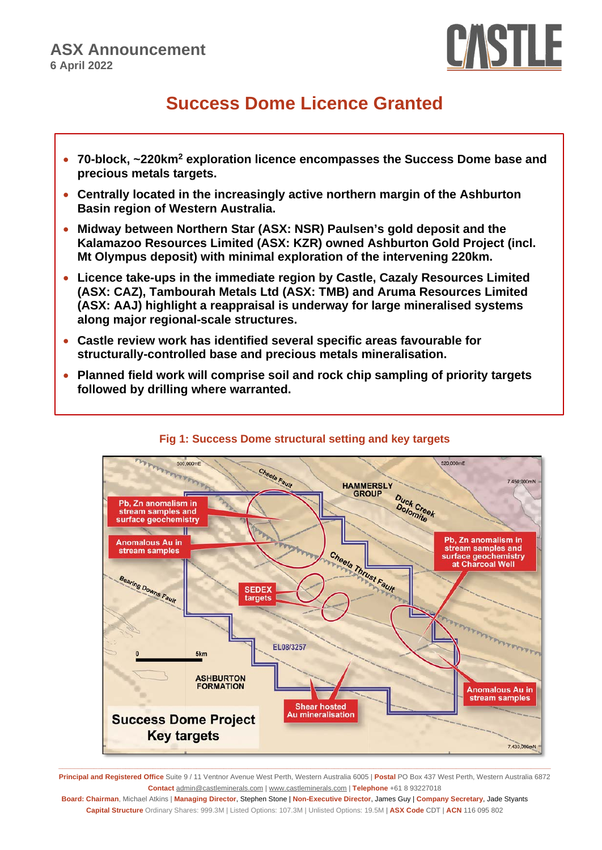

# **Success Dome Licence Granted**

- **70-block, ~220km2 exploration licence encompasses the Success Dome base and precious metals targets.**
- **Centrally located in the increasingly active northern margin of the Ashburton Basin region of Western Australia.**
- **Midway between Northern Star (ASX: NSR) Paulsen's gold deposit and the Kalamazoo Resources Limited (ASX: KZR) owned Ashburton Gold Project (incl. Mt Olympus deposit) with minimal exploration of the intervening 220km.**
- **Licence take-ups in the immediate region by Castle, Cazaly Resources Limited (ASX: CAZ), Tambourah Metals Ltd (ASX: TMB) and Aruma Resources Limited (ASX: AAJ) highlight a reappraisal is underway for large mineralised systems along major regional-scale structures.**
- **Castle review work has identified several specific areas favourable for structurally-controlled base and precious metals mineralisation.**
- **Planned field work will comprise soil and rock chip sampling of priority targets followed by drilling where warranted.**



# **Fig 1: Success Dome structural setting and key targets**

**Principal and Registered Office** Suite 9 / 11 Ventnor Avenue West Perth, Western Australia 6005 | **Postal** PO Box 437 West Perth, Western Australia 6872 **Contact** [admin@castleminerals.com](mailto:admin@castleminerals.com) [| www.castleminerals.com](http://www.castleminerals.com/) | **Telephone** +61 8 93227018

**Board: Chairman**, Michael Atkins | **Managing Director**, Stephen Stone | **Non-Executive Director**, James Guy | **Company Secretary**, Jade Styants **Capital Structure** Ordinary Shares: 999.3M | Listed Options: 107.3M | Unlisted Options: 19.5M | **ASX Code** CDT | **ACN** 116 095 802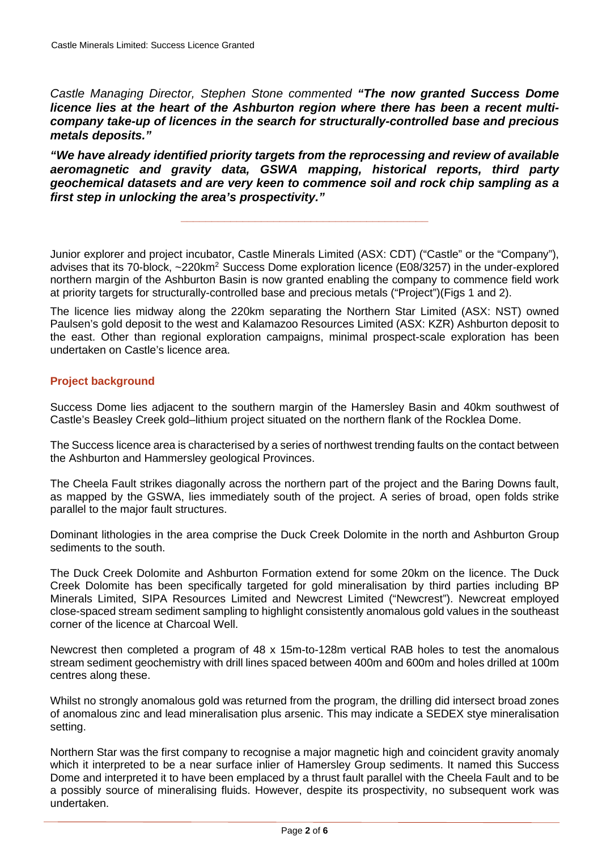*Castle Managing Director, Stephen Stone commented "The now granted Success Dome licence lies at the heart of the Ashburton region where there has been a recent multicompany take-up of licences in the search for structurally-controlled base and precious metals deposits."*

*"We have already identified priority targets from the reprocessing and review of available aeromagnetic and gravity data, GSWA mapping, historical reports, third party geochemical datasets and are very keen to commence soil and rock chip sampling as a first step in unlocking the area's prospectivity."*

**\_\_\_\_\_\_\_\_\_\_\_\_\_\_\_\_\_\_\_\_\_\_\_\_\_\_\_\_\_\_\_\_\_\_\_\_\_\_\_\_**

Junior explorer and project incubator, Castle Minerals Limited (ASX: CDT) ("Castle" or the "Company"), advises that its 70-block, ~220km<sup>2</sup> Success Dome exploration licence (E08/3257) in the under-explored northern margin of the Ashburton Basin is now granted enabling the company to commence field work at priority targets for structurally-controlled base and precious metals ("Project")(Figs 1 and 2).

The licence lies midway along the 220km separating the Northern Star Limited (ASX: NST) owned Paulsen's gold deposit to the west and Kalamazoo Resources Limited (ASX: KZR) Ashburton deposit to the east. Other than regional exploration campaigns, minimal prospect-scale exploration has been undertaken on Castle's licence area.

## **Project background**

Success Dome lies adjacent to the southern margin of the Hamersley Basin and 40km southwest of Castle's Beasley Creek gold–lithium project situated on the northern flank of the Rocklea Dome.

The Success licence area is characterised by a series of northwest trending faults on the contact between the Ashburton and Hammersley geological Provinces.

The Cheela Fault strikes diagonally across the northern part of the project and the Baring Downs fault, as mapped by the GSWA, lies immediately south of the project. A series of broad, open folds strike parallel to the major fault structures.

Dominant lithologies in the area comprise the Duck Creek Dolomite in the north and Ashburton Group sediments to the south.

The Duck Creek Dolomite and Ashburton Formation extend for some 20km on the licence. The Duck Creek Dolomite has been specifically targeted for gold mineralisation by third parties including BP Minerals Limited, SIPA Resources Limited and Newcrest Limited ("Newcrest"). Newcreat employed close-spaced stream sediment sampling to highlight consistently anomalous gold values in the southeast corner of the licence at Charcoal Well.

Newcrest then completed a program of 48 x 15m-to-128m vertical RAB holes to test the anomalous stream sediment geochemistry with drill lines spaced between 400m and 600m and holes drilled at 100m centres along these.

Whilst no strongly anomalous gold was returned from the program, the drilling did intersect broad zones of anomalous zinc and lead mineralisation plus arsenic. This may indicate a SEDEX stye mineralisation setting.

Northern Star was the first company to recognise a major magnetic high and coincident gravity anomaly which it interpreted to be a near surface inlier of Hamersley Group sediments. It named this Success Dome and interpreted it to have been emplaced by a thrust fault parallel with the Cheela Fault and to be a possibly source of mineralising fluids. However, despite its prospectivity, no subsequent work was undertaken.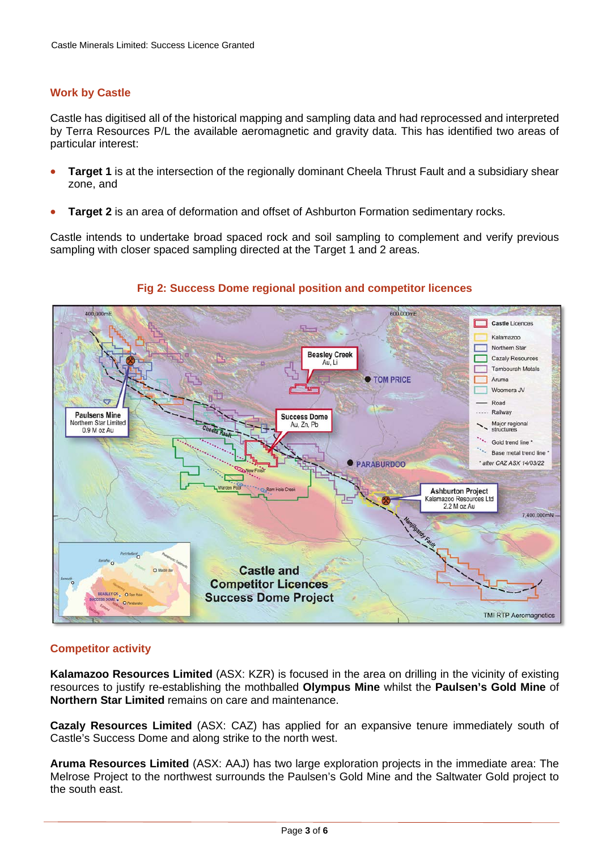## **Work by Castle**

Castle has digitised all of the historical mapping and sampling data and had reprocessed and interpreted by Terra Resources P/L the available aeromagnetic and gravity data. This has identified two areas of particular interest:

- **Target 1** is at the intersection of the regionally dominant Cheela Thrust Fault and a subsidiary shear zone, and
- **Target 2** is an area of deformation and offset of Ashburton Formation sedimentary rocks.

Castle intends to undertake broad spaced rock and soil sampling to complement and verify previous sampling with closer spaced sampling directed at the Target 1 and 2 areas.



## **Fig 2: Success Dome regional position and competitor licences**

# **Competitor activity**

**Kalamazoo Resources Limited** (ASX: KZR) is focused in the area on drilling in the vicinity of existing resources to justify re-establishing the mothballed **Olympus Mine** whilst the **Paulsen's Gold Mine** of **Northern Star Limited** remains on care and maintenance.

**Cazaly Resources Limited** (ASX: CAZ) has applied for an expansive tenure immediately south of Castle's Success Dome and along strike to the north west.

**Aruma Resources Limited** (ASX: AAJ) has two large exploration projects in the immediate area: The Melrose Project to the northwest surrounds the Paulsen's Gold Mine and the Saltwater Gold project to the south east.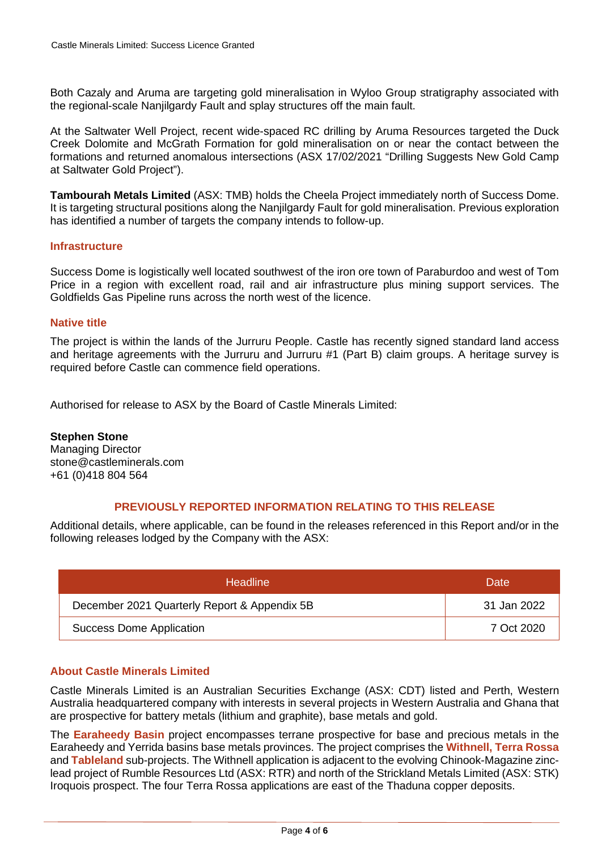Both Cazaly and Aruma are targeting gold mineralisation in Wyloo Group stratigraphy associated with the regional-scale Nanjilgardy Fault and splay structures off the main fault.

At the Saltwater Well Project, recent wide-spaced RC drilling by Aruma Resources targeted the Duck Creek Dolomite and McGrath Formation for gold mineralisation on or near the contact between the formations and returned anomalous intersections (ASX 17/02/2021 "Drilling Suggests New Gold Camp at Saltwater Gold Project").

**Tambourah Metals Limited** (ASX: TMB) holds the Cheela Project immediately north of Success Dome. It is targeting structural positions along the Nanjilgardy Fault for gold mineralisation. Previous exploration has identified a number of targets the company intends to follow-up.

#### **Infrastructure**

Success Dome is logistically well located southwest of the iron ore town of Paraburdoo and west of Tom Price in a region with excellent road, rail and air infrastructure plus mining support services. The Goldfields Gas Pipeline runs across the north west of the licence.

#### **Native title**

The project is within the lands of the Jurruru People. Castle has recently signed standard land access and heritage agreements with the Jurruru and Jurruru #1 (Part B) claim groups. A heritage survey is required before Castle can commence field operations.

Authorised for release to ASX by the Board of Castle Minerals Limited:

#### **Stephen Stone**

Managing Director [stone@castleminerals.com](mailto:stone@castleminerals.com) +61 (0)418 804 564

## **PREVIOUSLY REPORTED INFORMATION RELATING TO THIS RELEASE**

Additional details, where applicable, can be found in the releases referenced in this Report and/or in the following releases lodged by the Company with the ASX:

| <b>Headline</b>                              | Date:       |
|----------------------------------------------|-------------|
| December 2021 Quarterly Report & Appendix 5B | 31 Jan 2022 |
| <b>Success Dome Application</b>              | 7 Oct 2020  |

#### **About Castle Minerals Limited**

Castle Minerals Limited is an Australian Securities Exchange (ASX: CDT) listed and Perth, Western Australia headquartered company with interests in several projects in Western Australia and Ghana that are prospective for battery metals (lithium and graphite), base metals and gold.

The **Earaheedy Basin** project encompasses terrane prospective for base and precious metals in the Earaheedy and Yerrida basins base metals provinces. The project comprises the **Withnell, Terra Rossa** and **Tableland** sub-projects. The Withnell application is adjacent to the evolving Chinook-Magazine zinclead project of Rumble Resources Ltd (ASX: RTR) and north of the Strickland Metals Limited (ASX: STK) Iroquois prospect. The four Terra Rossa applications are east of the Thaduna copper deposits.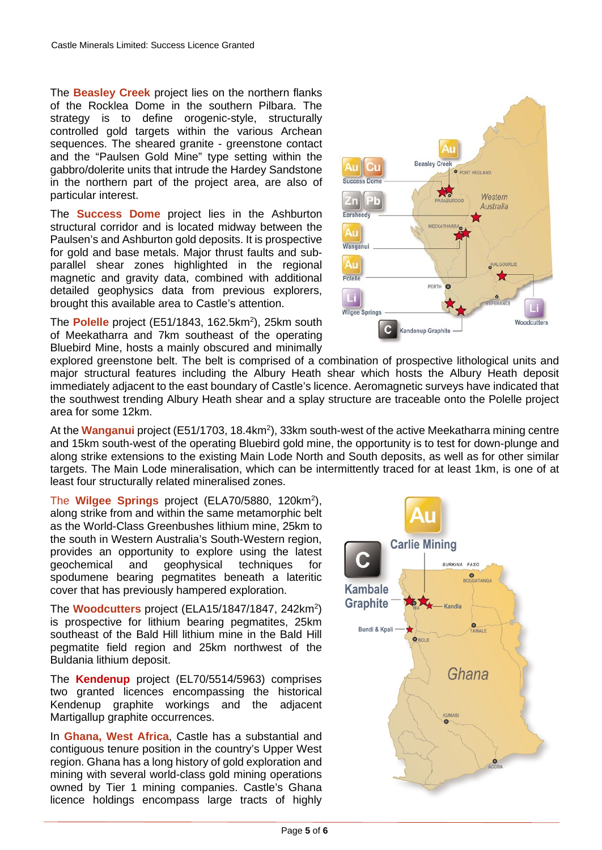The **Beasley Creek** project lies on the northern flanks of the Rocklea Dome in the southern Pilbara. The strategy is to define orogenic-style, structurally controlled gold targets within the various Archean sequences. The sheared granite - greenstone contact and the "Paulsen Gold Mine" type setting within the gabbro/dolerite units that intrude the Hardey Sandstone in the northern part of the project area, are also of particular interest.

The **Success Dome** project lies in the Ashburton structural corridor and is located midway between the Paulsen's and Ashburton gold deposits. It is prospective for gold and base metals. Major thrust faults and subparallel shear zones highlighted in the regional magnetic and gravity data, combined with additional detailed geophysics data from previous explorers, brought this available area to Castle's attention.

The Polelle project (E51/1843, 162.5km<sup>2</sup>), 25km south of Meekatharra and 7km southeast of the operating Bluebird Mine, hosts a mainly obscured and minimally



explored greenstone belt. The belt is comprised of a combination of prospective lithological units and major structural features including the Albury Heath shear which hosts the Albury Heath deposit immediately adjacent to the east boundary of Castle's licence. Aeromagnetic surveys have indicated that the southwest trending Albury Heath shear and a splay structure are traceable onto the Polelle project area for some 12km.

At the Wanganui project (E51/1703, 18.4km<sup>2</sup>), 33km south-west of the active Meekatharra mining centre and 15km south-west of the operating Bluebird gold mine, the opportunity is to test for down-plunge and along strike extensions to the existing Main Lode North and South deposits, as well as for other similar targets. The Main Lode mineralisation, which can be intermittently traced for at least 1km, is one of at least four structurally related mineralised zones.

The **Wilgee Springs** project (ELA70/5880, 120km2 ), along strike from and within the same metamorphic belt as the World-Class Greenbushes lithium mine, 25km to the south in Western Australia's South-Western region, provides an opportunity to explore using the latest geochemical and geophysical techniques for spodumene bearing pegmatites beneath a lateritic cover that has previously hampered exploration.

The **Woodcutters** project (ELA15/1847/1847, 242km2 ) is prospective for lithium bearing pegmatites, 25km southeast of the Bald Hill lithium mine in the Bald Hill pegmatite field region and 25km northwest of the Buldania lithium deposit.

The **Kendenup** project (EL70/5514/5963) comprises two granted licences encompassing the historical Kendenup graphite workings and the adjacent Martigallup graphite occurrences.

In **Ghana, West Africa**, Castle has a substantial and contiguous tenure position in the country's Upper West region. Ghana has a long history of gold exploration and mining with several world-class gold mining operations owned by Tier 1 mining companies. Castle's Ghana licence holdings encompass large tracts of highly